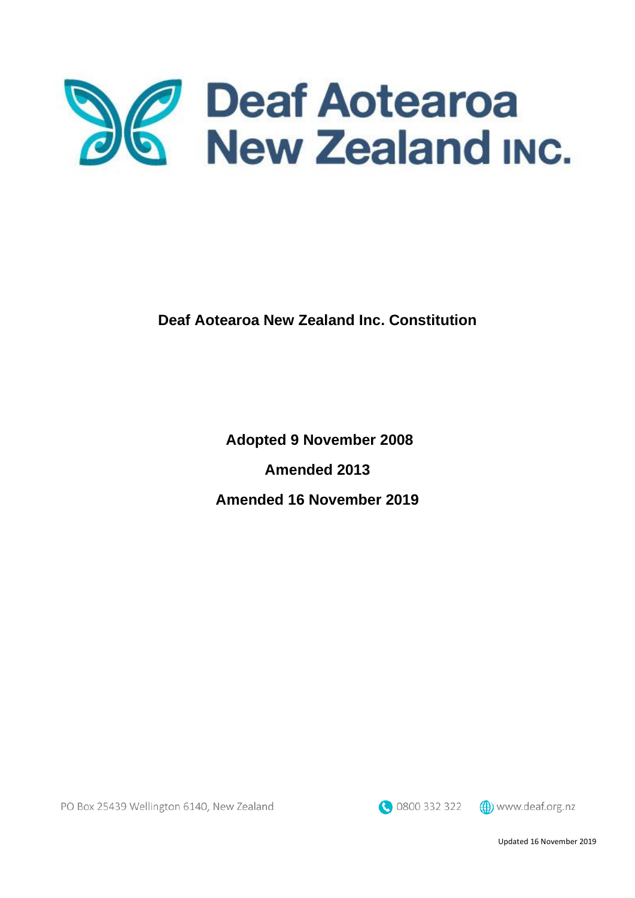

**Deaf Aotearoa New Zealand Inc. Constitution**

**Adopted 9 November 2008**

**Amended 2013**

**Amended 16 November 2019**

0800 332 322

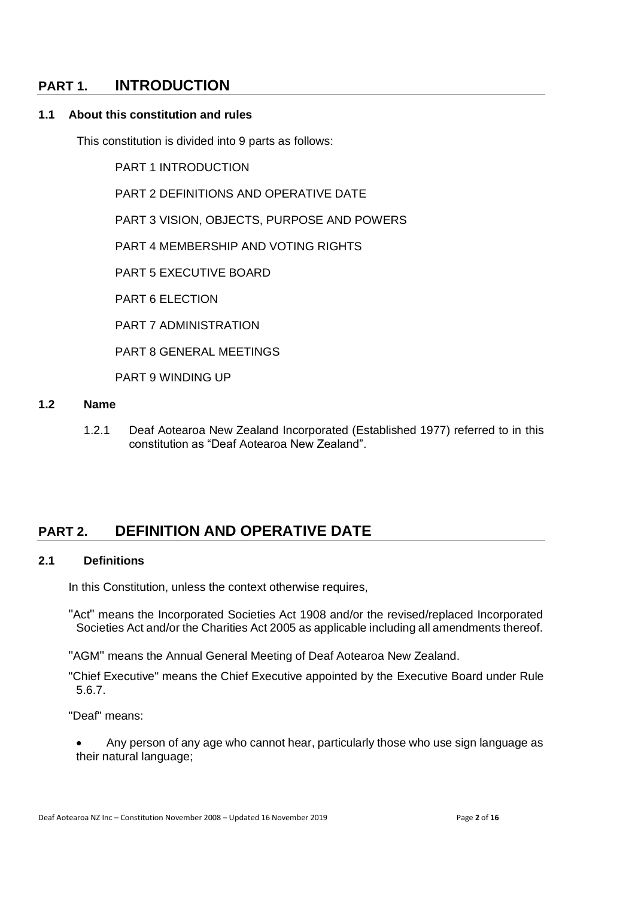# **PART 1. INTRODUCTION**

### **1.1 About this constitution and rules**

This constitution is divided into 9 parts as follows:

PART 1 INTRODUCTION

PART 2 DEFINITIONS AND OPERATIVE DATE

PART 3 VISION, OBJECTS, PURPOSE AND POWERS

PART 4 MEMBERSHIP AND VOTING RIGHTS

PART 5 EXECUTIVE BOARD

PART 6 ELECTION

PART 7 ADMINISTRATION

PART 8 GENERAL MEETINGS

PART 9 WINDING UP

#### **1.2 Name**

1.2.1 Deaf Aotearoa New Zealand Incorporated (Established 1977) referred to in this constitution as "Deaf Aotearoa New Zealand".

# **PART 2. DEFINITION AND OPERATIVE DATE**

#### **2.1 Definitions**

In this Constitution, unless the context otherwise requires,

"Act" means the Incorporated Societies Act 1908 and/or the revised/replaced Incorporated Societies Act and/or the Charities Act 2005 as applicable including all amendments thereof.

"AGM" means the Annual General Meeting of Deaf Aotearoa New Zealand.

"Chief Executive" means the Chief Executive appointed by the Executive Board under Rule 5.6.7.

"Deaf" means:

• Any person of any age who cannot hear, particularly those who use sign language as their natural language;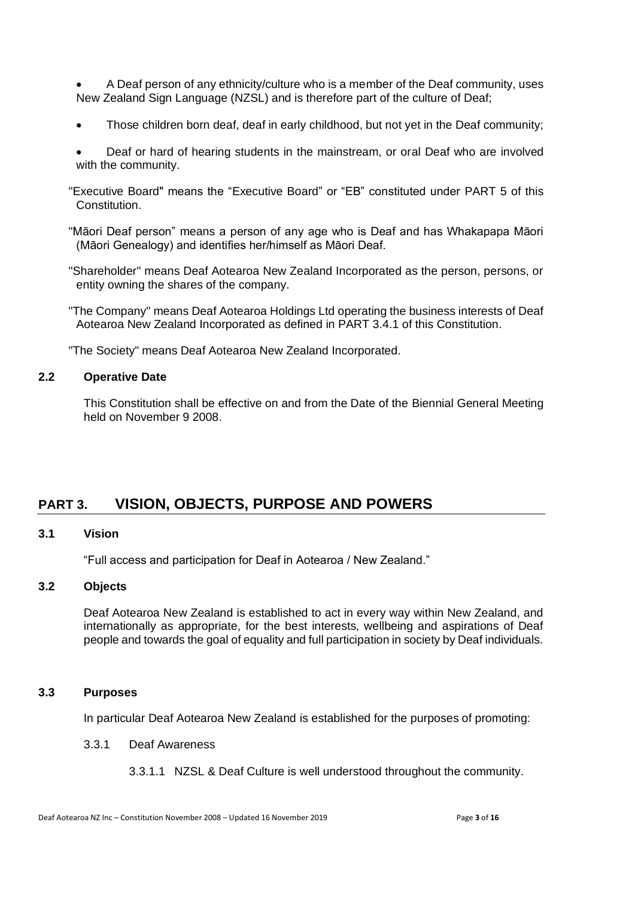• A Deaf person of any ethnicity/culture who is a member of the Deaf community, uses New Zealand Sign Language (NZSL) and is therefore part of the culture of Deaf;

- Those children born deaf, deaf in early childhood, but not yet in the Deaf community;
- Deaf or hard of hearing students in the mainstream, or oral Deaf who are involved with the community.
- "Executive Board" means the "Executive Board" or "EB" constituted under PART 5 of this Constitution.
- "Māori Deaf person" means a person of any age who is Deaf and has Whakapapa Māori (Māori Genealogy) and identifies her/himself as Māori Deaf.
- "Shareholder" means Deaf Aotearoa New Zealand Incorporated as the person, persons, or entity owning the shares of the company.
- "The Company" means Deaf Aotearoa Holdings Ltd operating the business interests of Deaf Aotearoa New Zealand Incorporated as defined in PART 3.4.1 of this Constitution.

"The Society" means Deaf Aotearoa New Zealand Incorporated.

#### **2.2 Operative Date**

This Constitution shall be effective on and from the Date of the Biennial General Meeting held on November 9 2008.

# **PART 3. VISION, OBJECTS, PURPOSE AND POWERS**

# **3.1 Vision**

"Full access and participation for Deaf in Aotearoa / New Zealand."

# **3.2 Objects**

Deaf Aotearoa New Zealand is established to act in every way within New Zealand, and internationally as appropriate, for the best interests, wellbeing and aspirations of Deaf people and towards the goal of equality and full participation in society by Deaf individuals.

#### **3.3 Purposes**

In particular Deaf Aotearoa New Zealand is established for the purposes of promoting:

#### 3.3.1 Deaf Awareness

3.3.1.1 NZSL & Deaf Culture is well understood throughout the community.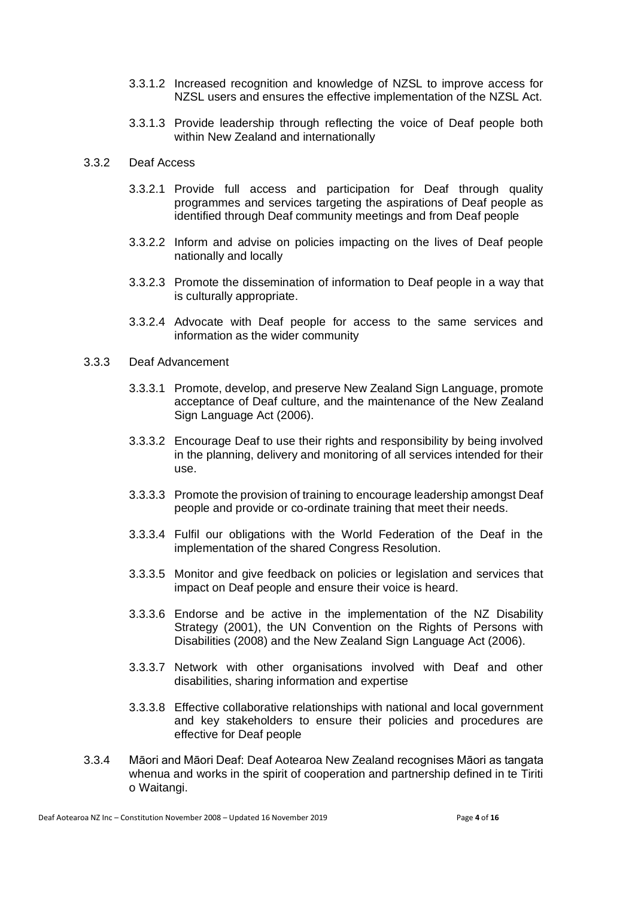- 3.3.1.2 Increased recognition and knowledge of NZSL to improve access for NZSL users and ensures the effective implementation of the NZSL Act.
- 3.3.1.3 Provide leadership through reflecting the voice of Deaf people both within New Zealand and internationally
- 3.3.2 Deaf Access
	- 3.3.2.1 Provide full access and participation for Deaf through quality programmes and services targeting the aspirations of Deaf people as identified through Deaf community meetings and from Deaf people
	- 3.3.2.2 Inform and advise on policies impacting on the lives of Deaf people nationally and locally
	- 3.3.2.3 Promote the dissemination of information to Deaf people in a way that is culturally appropriate.
	- 3.3.2.4 Advocate with Deaf people for access to the same services and information as the wider community
- 3.3.3 Deaf Advancement
	- 3.3.3.1 Promote, develop, and preserve New Zealand Sign Language, promote acceptance of Deaf culture, and the maintenance of the New Zealand Sign Language Act (2006).
	- 3.3.3.2 Encourage Deaf to use their rights and responsibility by being involved in the planning, delivery and monitoring of all services intended for their use.
	- 3.3.3.3 Promote the provision of training to encourage leadership amongst Deaf people and provide or co-ordinate training that meet their needs.
	- 3.3.3.4 Fulfil our obligations with the World Federation of the Deaf in the implementation of the shared Congress Resolution.
	- 3.3.3.5 Monitor and give feedback on policies or legislation and services that impact on Deaf people and ensure their voice is heard.
	- 3.3.3.6 Endorse and be active in the implementation of the NZ Disability Strategy (2001), the UN Convention on the Rights of Persons with Disabilities (2008) and the New Zealand Sign Language Act (2006).
	- 3.3.3.7 Network with other organisations involved with Deaf and other disabilities, sharing information and expertise
	- 3.3.3.8 Effective collaborative relationships with national and local government and key stakeholders to ensure their policies and procedures are effective for Deaf people
- 3.3.4 Māori and Māori Deaf: Deaf Aotearoa New Zealand recognises Māori as tangata whenua and works in the spirit of cooperation and partnership defined in te Tiriti o Waitangi.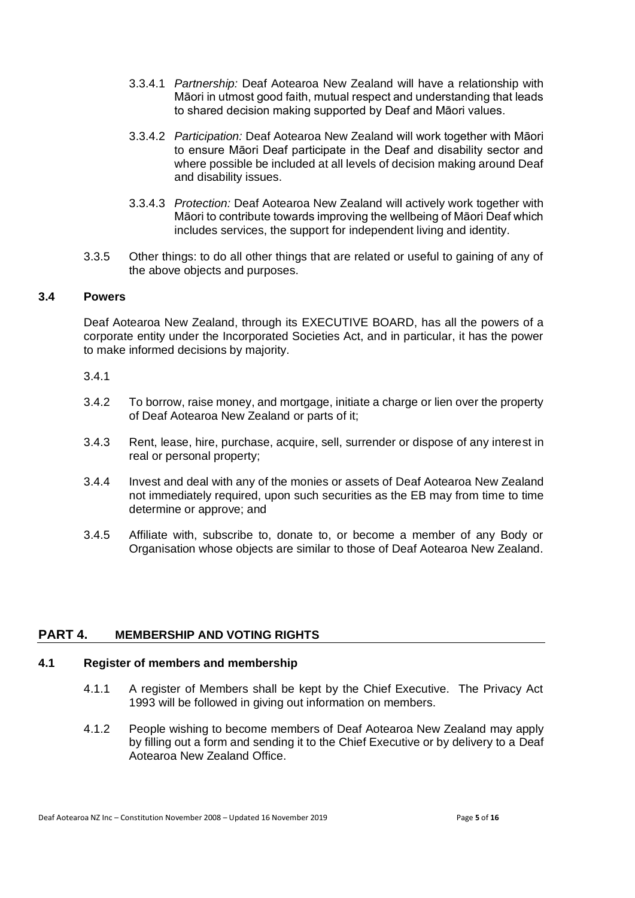- 3.3.4.1 *Partnership:* Deaf Aotearoa New Zealand will have a relationship with Māori in utmost good faith, mutual respect and understanding that leads to shared decision making supported by Deaf and Māori values.
- 3.3.4.2 *Participation:* Deaf Aotearoa New Zealand will work together with Māori to ensure Māori Deaf participate in the Deaf and disability sector and where possible be included at all levels of decision making around Deaf and disability issues.
- 3.3.4.3 *Protection:* Deaf Aotearoa New Zealand will actively work together with Māori to contribute towards improving the wellbeing of Māori Deaf which includes services, the support for independent living and identity.
- 3.3.5 Other things: to do all other things that are related or useful to gaining of any of the above objects and purposes.

### **3.4 Powers**

Deaf Aotearoa New Zealand, through its EXECUTIVE BOARD, has all the powers of a corporate entity under the Incorporated Societies Act, and in particular, it has the power to make informed decisions by majority.

#### 3.4.1

- 3.4.2 To borrow, raise money, and mortgage, initiate a charge or lien over the property of Deaf Aotearoa New Zealand or parts of it;
- 3.4.3 Rent, lease, hire, purchase, acquire, sell, surrender or dispose of any interest in real or personal property;
- 3.4.4 Invest and deal with any of the monies or assets of Deaf Aotearoa New Zealand not immediately required, upon such securities as the EB may from time to time determine or approve; and
- 3.4.5 Affiliate with, subscribe to, donate to, or become a member of any Body or Organisation whose objects are similar to those of Deaf Aotearoa New Zealand.

# **PART 4. MEMBERSHIP AND VOTING RIGHTS**

# <span id="page-4-0"></span>**4.1 Register of members and membership**

- 4.1.1 A register of Members shall be kept by the Chief Executive. The Privacy Act 1993 will be followed in giving out information on members.
- 4.1.2 People wishing to become members of Deaf Aotearoa New Zealand may apply by filling out a form and sending it to the Chief Executive or by delivery to a Deaf Aotearoa New Zealand Office.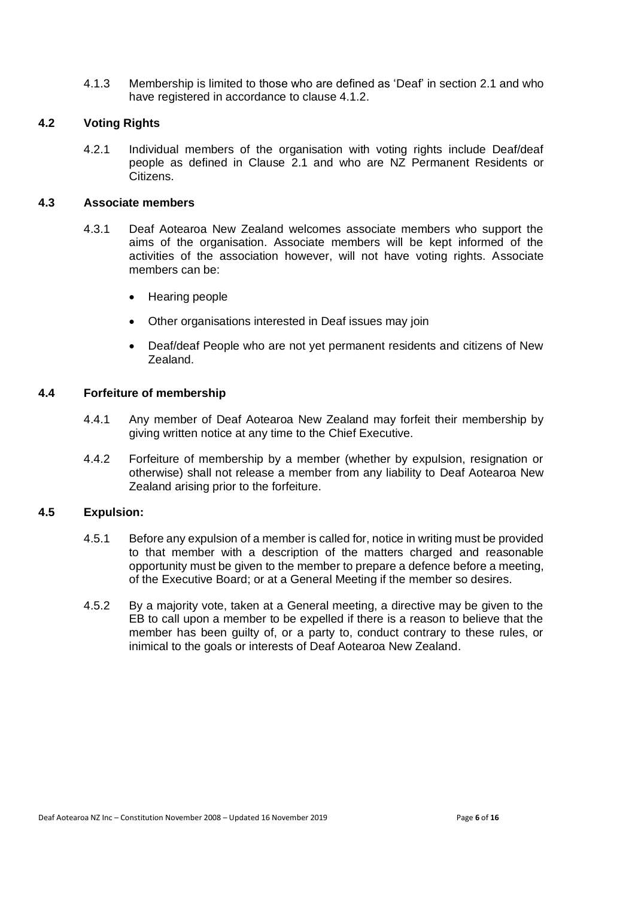4.1.3 Membership is limited to those who are defined as 'Deaf' in section 2.1 and who have registered in accordance to clause 4.1.2.

### **4.2 Voting Rights**

4.2.1 Individual members of the organisation with voting rights include Deaf/deaf people as defined in Clause 2.1 and who are NZ Permanent Residents or Citizens.

#### **4.3 Associate members**

- 4.3.1 Deaf Aotearoa New Zealand welcomes associate members who support the aims of the organisation. Associate members will be kept informed of the activities of the association however, will not have voting rights. Associate members can be:
	- Hearing people
	- Other organisations interested in Deaf issues may join
	- Deaf/deaf People who are not yet permanent residents and citizens of New Zealand.

## **4.4 Forfeiture of membership**

- 4.4.1 Any member of Deaf Aotearoa New Zealand may forfeit their membership by giving written notice at any time to the Chief Executive.
- 4.4.2 Forfeiture of membership by a member (whether by expulsion, resignation or otherwise) shall not release a member from any liability to Deaf Aotearoa New Zealand arising prior to the forfeiture.

### **4.5 Expulsion:**

- 4.5.1 Before any expulsion of a member is called for, notice in writing must be provided to that member with a description of the matters charged and reasonable opportunity must be given to the member to prepare a defence before a meeting, of the Executive Board; or at a General Meeting if the member so desires.
- 4.5.2 By a majority vote, taken at a General meeting, a directive may be given to the EB to call upon a member to be expelled if there is a reason to believe that the member has been guilty of, or a party to, conduct contrary to these rules, or inimical to the goals or interests of Deaf Aotearoa New Zealand.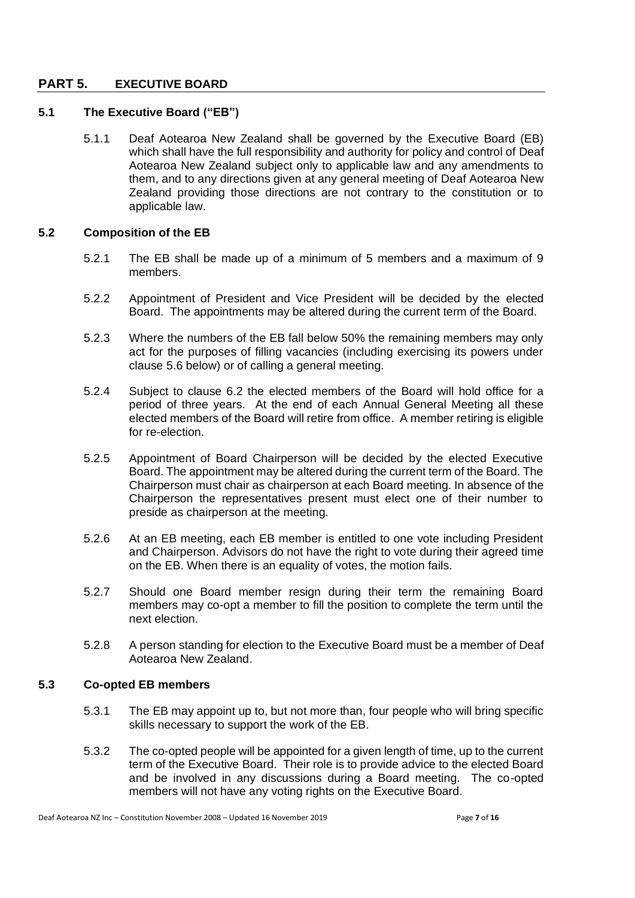# **PART 5. EXECUTIVE BOARD**

# **5.1 The Executive Board ("EB")**

5.1.1 Deaf Aotearoa New Zealand shall be governed by the Executive Board (EB) which shall have the full responsibility and authority for policy and control of Deaf Aotearoa New Zealand subject only to applicable law and any amendments to them, and to any directions given at any general meeting of Deaf Aotearoa New Zealand providing those directions are not contrary to the constitution or to applicable law.

### **5.2 Composition of the EB**

- 5.2.1 The EB shall be made up of a minimum of 5 members and a maximum of 9 members.
- 5.2.2 Appointment of President and Vice President will be decided by the elected Board. The appointments may be altered during the current term of the Board.
- 5.2.3 Where the numbers of the EB fall below 50% the remaining members may only act for the purposes of filling vacancies (including exercising its powers under clause 5.6 below) or of calling a general meeting.
- 5.2.4 Subject to clause 6.2 the elected members of the Board will hold office for a period of three years. At the end of each Annual General Meeting all these elected members of the Board will retire from office. A member retiring is eligible for re-election.
- 5.2.5 Appointment of Board Chairperson will be decided by the elected Executive Board. The appointment may be altered during the current term of the Board. The Chairperson must chair as chairperson at each Board meeting. In absence of the Chairperson the representatives present must elect one of their number to preside as chairperson at the meeting.
- 5.2.6 At an EB meeting, each EB member is entitled to one vote including President and Chairperson. Advisors do not have the right to vote during their agreed time on the EB. When there is an equality of votes, the motion fails.
- 5.2.7 Should one Board member resign during their term the remaining Board members may co-opt a member to fill the position to complete the term until the next election.
- 5.2.8 A person standing for election to the Executive Board must be a member of Deaf Aotearoa New Zealand.

### **5.3 Co-opted EB members**

- 5.3.1 The EB may appoint up to, but not more than, four people who will bring specific skills necessary to support the work of the EB.
- 5.3.2 The co-opted people will be appointed for a given length of time, up to the current term of the Executive Board. Their role is to provide advice to the elected Board and be involved in any discussions during a Board meeting. The co-opted members will not have any voting rights on the Executive Board.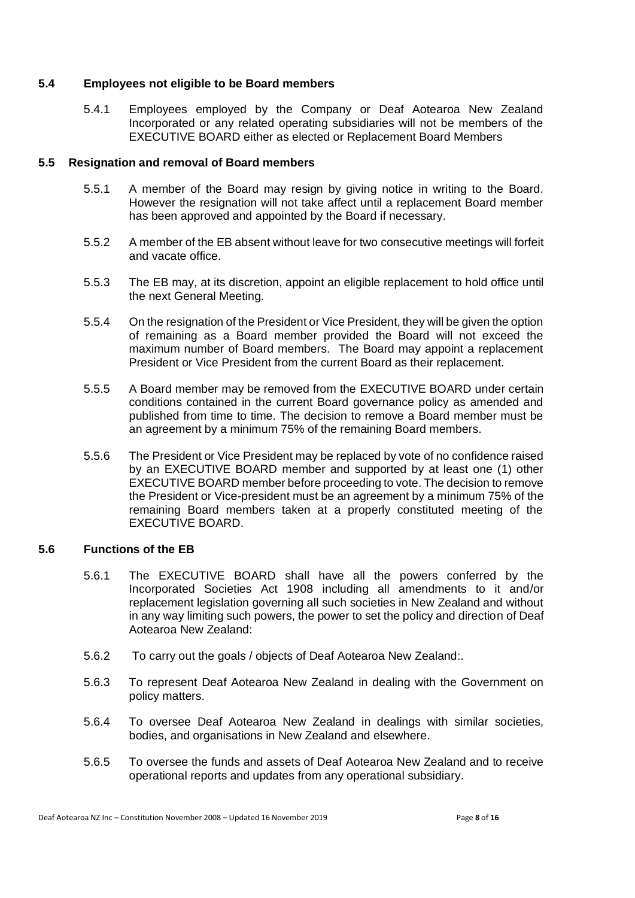# **5.4 Employees not eligible to be Board members**

5.4.1 Employees employed by the Company or Deaf Aotearoa New Zealand Incorporated or any related operating subsidiaries will not be members of the EXECUTIVE BOARD either as elected or Replacement Board Members

### **5.5 Resignation and removal of Board members**

- 5.5.1 A member of the Board may resign by giving notice in writing to the Board. However the resignation will not take affect until a replacement Board member has been approved and appointed by the Board if necessary.
- 5.5.2 A member of the EB absent without leave for two consecutive meetings will forfeit and vacate office.
- 5.5.3 The EB may, at its discretion, appoint an eligible replacement to hold office until the next General Meeting.
- 5.5.4 On the resignation of the President or Vice President, they will be given the option of remaining as a Board member provided the Board will not exceed the maximum number of Board members. The Board may appoint a replacement President or Vice President from the current Board as their replacement.
- 5.5.5 A Board member may be removed from the EXECUTIVE BOARD under certain conditions contained in the current Board governance policy as amended and published from time to time. The decision to remove a Board member must be an agreement by a minimum 75% of the remaining Board members.
- 5.5.6 The President or Vice President may be replaced by vote of no confidence raised by an EXECUTIVE BOARD member and supported by at least one (1) other EXECUTIVE BOARD member before proceeding to vote. The decision to remove the President or Vice-president must be an agreement by a minimum 75% of the remaining Board members taken at a properly constituted meeting of the EXECUTIVE BOARD.

#### **5.6 Functions of the EB**

- 5.6.1 The EXECUTIVE BOARD shall have all the powers conferred by the Incorporated Societies Act 1908 including all amendments to it and/or replacement legislation governing all such societies in New Zealand and without in any way limiting such powers, the power to set the policy and direction of Deaf Aotearoa New Zealand:
- 5.6.2 To carry out the goals / objects of Deaf Aotearoa New Zealand:.
- 5.6.3 To represent Deaf Aotearoa New Zealand in dealing with the Government on policy matters.
- 5.6.4 To oversee Deaf Aotearoa New Zealand in dealings with similar societies, bodies, and organisations in New Zealand and elsewhere.
- 5.6.5 To oversee the funds and assets of Deaf Aotearoa New Zealand and to receive operational reports and updates from any operational subsidiary.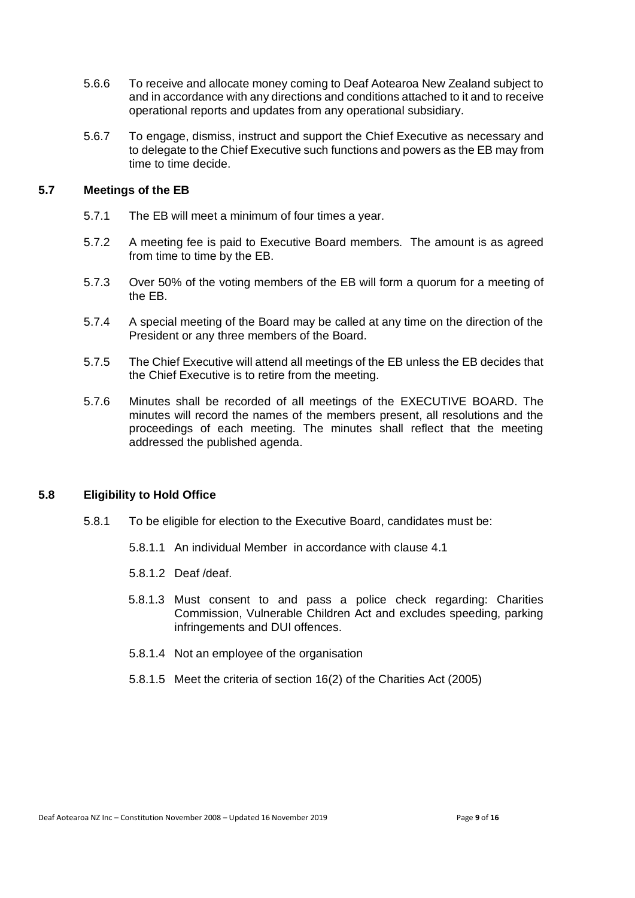- 5.6.6 To receive and allocate money coming to Deaf Aotearoa New Zealand subject to and in accordance with any directions and conditions attached to it and to receive operational reports and updates from any operational subsidiary.
- 5.6.7 To engage, dismiss, instruct and support the Chief Executive as necessary and to delegate to the Chief Executive such functions and powers as the EB may from time to time decide.

# **5.7 Meetings of the EB**

- 5.7.1 The EB will meet a minimum of four times a year.
- 5.7.2 A meeting fee is paid to Executive Board members. The amount is as agreed from time to time by the EB.
- 5.7.3 Over 50% of the voting members of the EB will form a quorum for a meeting of the EB.
- 5.7.4 A special meeting of the Board may be called at any time on the direction of the President or any three members of the Board.
- 5.7.5 The Chief Executive will attend all meetings of the EB unless the EB decides that the Chief Executive is to retire from the meeting.
- 5.7.6 Minutes shall be recorded of all meetings of the EXECUTIVE BOARD. The minutes will record the names of the members present, all resolutions and the proceedings of each meeting. The minutes shall reflect that the meeting addressed the published agenda.

# **5.8 Eligibility to Hold Office**

- 5.8.1 To be eligible for election to the Executive Board, candidates must be:
	- 5.8.1.1 An individual Member in accordance with clause [4.1](#page-4-0)
	- 5.8.1.2 Deaf /deaf.
	- 5.8.1.3 Must consent to and pass a police check regarding: Charities Commission, Vulnerable Children Act and excludes speeding, parking infringements and DUI offences.
	- 5.8.1.4 Not an employee of the organisation
	- 5.8.1.5 Meet the criteria of section 16(2) of the Charities Act (2005)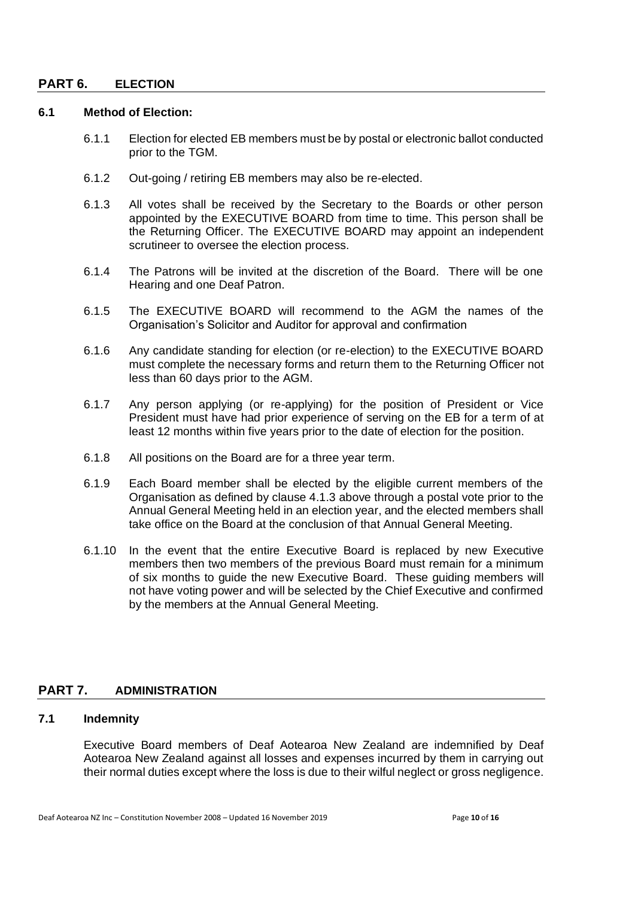### **PART 6. ELECTION**

# **6.1 Method of Election:**

- 6.1.1 Election for elected EB members must be by postal or electronic ballot conducted prior to the TGM.
- 6.1.2 Out-going / retiring EB members may also be re-elected.
- 6.1.3 All votes shall be received by the Secretary to the Boards or other person appointed by the EXECUTIVE BOARD from time to time. This person shall be the Returning Officer. The EXECUTIVE BOARD may appoint an independent scrutineer to oversee the election process.
- 6.1.4 The Patrons will be invited at the discretion of the Board. There will be one Hearing and one Deaf Patron.
- 6.1.5 The EXECUTIVE BOARD will recommend to the AGM the names of the Organisation's Solicitor and Auditor for approval and confirmation
- 6.1.6 Any candidate standing for election (or re-election) to the EXECUTIVE BOARD must complete the necessary forms and return them to the Returning Officer not less than 60 days prior to the AGM.
- 6.1.7 Any person applying (or re-applying) for the position of President or Vice President must have had prior experience of serving on the EB for a term of at least 12 months within five years prior to the date of election for the position.
- 6.1.8 All positions on the Board are for a three year term.
- 6.1.9 Each Board member shall be elected by the eligible current members of the Organisation as defined by clause 4.1.3 above through a postal vote prior to the Annual General Meeting held in an election year, and the elected members shall take office on the Board at the conclusion of that Annual General Meeting.
- 6.1.10 In the event that the entire Executive Board is replaced by new Executive members then two members of the previous Board must remain for a minimum of six months to guide the new Executive Board. These guiding members will not have voting power and will be selected by the Chief Executive and confirmed by the members at the Annual General Meeting.

# **PART 7. ADMINISTRATION**

# **7.1 Indemnity**

Executive Board members of Deaf Aotearoa New Zealand are indemnified by Deaf Aotearoa New Zealand against all losses and expenses incurred by them in carrying out their normal duties except where the loss is due to their wilful neglect or gross negligence.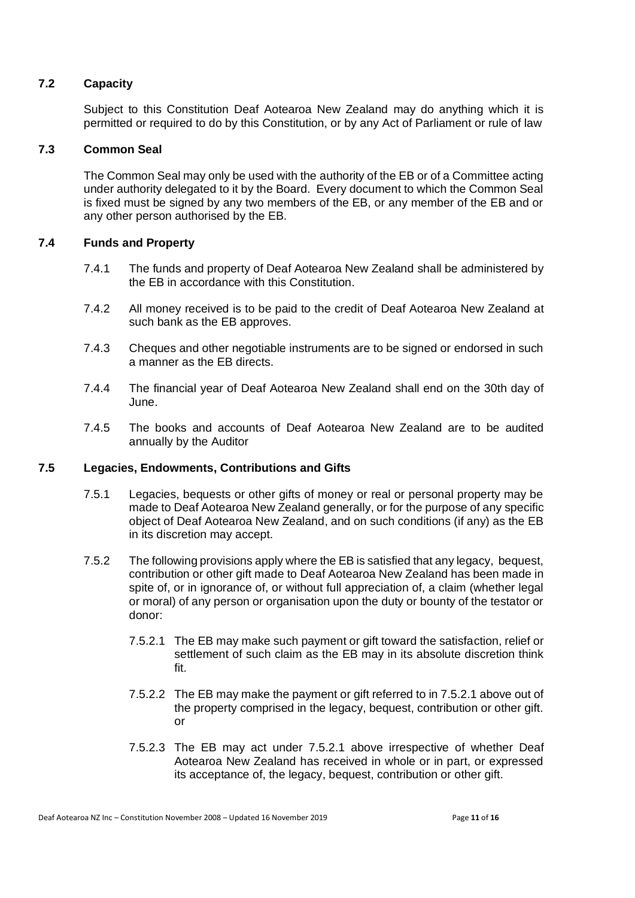# **7.2 Capacity**

Subject to this Constitution Deaf Aotearoa New Zealand may do anything which it is permitted or required to do by this Constitution, or by any Act of Parliament or rule of law

### **7.3 Common Seal**

The Common Seal may only be used with the authority of the EB or of a Committee acting under authority delegated to it by the Board. Every document to which the Common Seal is fixed must be signed by any two members of the EB, or any member of the EB and or any other person authorised by the EB.

### **7.4 Funds and Property**

- 7.4.1 The funds and property of Deaf Aotearoa New Zealand shall be administered by the EB in accordance with this Constitution.
- 7.4.2 All money received is to be paid to the credit of Deaf Aotearoa New Zealand at such bank as the EB approves.
- 7.4.3 Cheques and other negotiable instruments are to be signed or endorsed in such a manner as the EB directs.
- 7.4.4 The financial year of Deaf Aotearoa New Zealand shall end on the 30th day of June.
- 7.4.5 The books and accounts of Deaf Aotearoa New Zealand are to be audited annually by the Auditor

#### **7.5 Legacies, Endowments, Contributions and Gifts**

- 7.5.1 Legacies, bequests or other gifts of money or real or personal property may be made to Deaf Aotearoa New Zealand generally, or for the purpose of any specific object of Deaf Aotearoa New Zealand, and on such conditions (if any) as the EB in its discretion may accept.
- <span id="page-10-0"></span>7.5.2 The following provisions apply where the EB is satisfied that any legacy, bequest, contribution or other gift made to Deaf Aotearoa New Zealand has been made in spite of, or in ignorance of, or without full appreciation of, a claim (whether legal or moral) of any person or organisation upon the duty or bounty of the testator or donor:
	- 7.5.2.1 The EB may make such payment or gift toward the satisfaction, relief or settlement of such claim as the EB may in its absolute discretion think fit.
	- 7.5.2.2 The EB may make the payment or gift referred to in [7.5.2.1](#page-10-0) above out of the property comprised in the legacy, bequest, contribution or other gift. or
	- 7.5.2.3 The EB may act under [7.5.2.1](#page-10-0) above irrespective of whether Deaf Aotearoa New Zealand has received in whole or in part, or expressed its acceptance of, the legacy, bequest, contribution or other gift.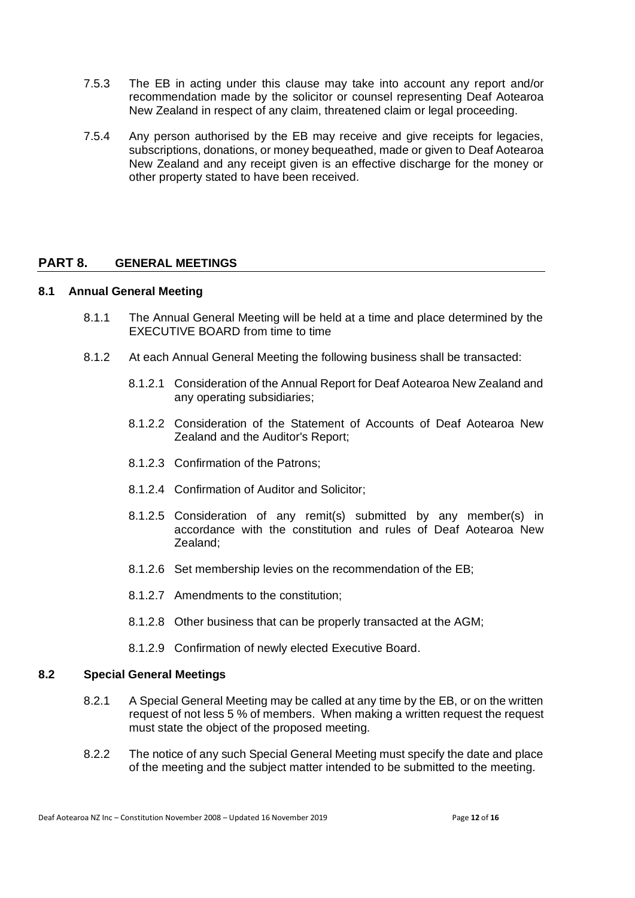- 7.5.3 The EB in acting under this clause may take into account any report and/or recommendation made by the solicitor or counsel representing Deaf Aotearoa New Zealand in respect of any claim, threatened claim or legal proceeding.
- 7.5.4 Any person authorised by the EB may receive and give receipts for legacies, subscriptions, donations, or money bequeathed, made or given to Deaf Aotearoa New Zealand and any receipt given is an effective discharge for the money or other property stated to have been received.

# **PART 8. GENERAL MEETINGS**

#### **8.1 Annual General Meeting**

- 8.1.1 The Annual General Meeting will be held at a time and place determined by the EXECUTIVE BOARD from time to time
- 8.1.2 At each Annual General Meeting the following business shall be transacted:
	- 8.1.2.1 Consideration of the Annual Report for Deaf Aotearoa New Zealand and any operating subsidiaries;
	- 8.1.2.2 Consideration of the Statement of Accounts of Deaf Aotearoa New Zealand and the Auditor's Report;
	- 8.1.2.3 Confirmation of the Patrons;
	- 8.1.2.4 Confirmation of Auditor and Solicitor;
	- 8.1.2.5 Consideration of any remit(s) submitted by any member(s) in accordance with the constitution and rules of Deaf Aotearoa New Zealand;
	- 8.1.2.6 Set membership levies on the recommendation of the EB;
	- 8.1.2.7 Amendments to the constitution;
	- 8.1.2.8 Other business that can be properly transacted at the AGM;
	- 8.1.2.9 Confirmation of newly elected Executive Board.

### **8.2 Special General Meetings**

- 8.2.1 A Special General Meeting may be called at any time by the EB, or on the written request of not less 5 % of members. When making a written request the request must state the object of the proposed meeting.
- 8.2.2 The notice of any such Special General Meeting must specify the date and place of the meeting and the subject matter intended to be submitted to the meeting.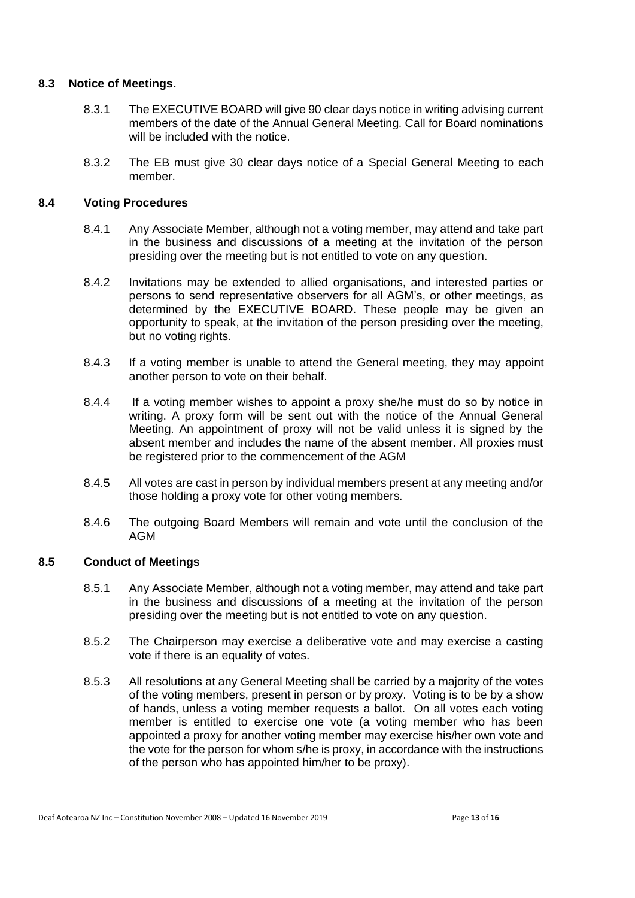# **8.3 Notice of Meetings.**

- 8.3.1 The EXECUTIVE BOARD will give 90 clear days notice in writing advising current members of the date of the Annual General Meeting. Call for Board nominations will be included with the notice.
- 8.3.2 The EB must give 30 clear days notice of a Special General Meeting to each member.

### **8.4 Voting Procedures**

- 8.4.1 Any Associate Member, although not a voting member, may attend and take part in the business and discussions of a meeting at the invitation of the person presiding over the meeting but is not entitled to vote on any question.
- 8.4.2 Invitations may be extended to allied organisations, and interested parties or persons to send representative observers for all AGM's, or other meetings, as determined by the EXECUTIVE BOARD. These people may be given an opportunity to speak, at the invitation of the person presiding over the meeting, but no voting rights.
- 8.4.3 If a voting member is unable to attend the General meeting, they may appoint another person to vote on their behalf.
- 8.4.4 If a voting member wishes to appoint a proxy she/he must do so by notice in writing. A proxy form will be sent out with the notice of the Annual General Meeting. An appointment of proxy will not be valid unless it is signed by the absent member and includes the name of the absent member. All proxies must be registered prior to the commencement of the AGM
- 8.4.5 All votes are cast in person by individual members present at any meeting and/or those holding a proxy vote for other voting members.
- 8.4.6 The outgoing Board Members will remain and vote until the conclusion of the AGM

#### **8.5 Conduct of Meetings**

- 8.5.1 Any Associate Member, although not a voting member, may attend and take part in the business and discussions of a meeting at the invitation of the person presiding over the meeting but is not entitled to vote on any question.
- 8.5.2 The Chairperson may exercise a deliberative vote and may exercise a casting vote if there is an equality of votes.
- 8.5.3 All resolutions at any General Meeting shall be carried by a majority of the votes of the voting members, present in person or by proxy. Voting is to be by a show of hands, unless a voting member requests a ballot. On all votes each voting member is entitled to exercise one vote (a voting member who has been appointed a proxy for another voting member may exercise his/her own vote and the vote for the person for whom s/he is proxy, in accordance with the instructions of the person who has appointed him/her to be proxy).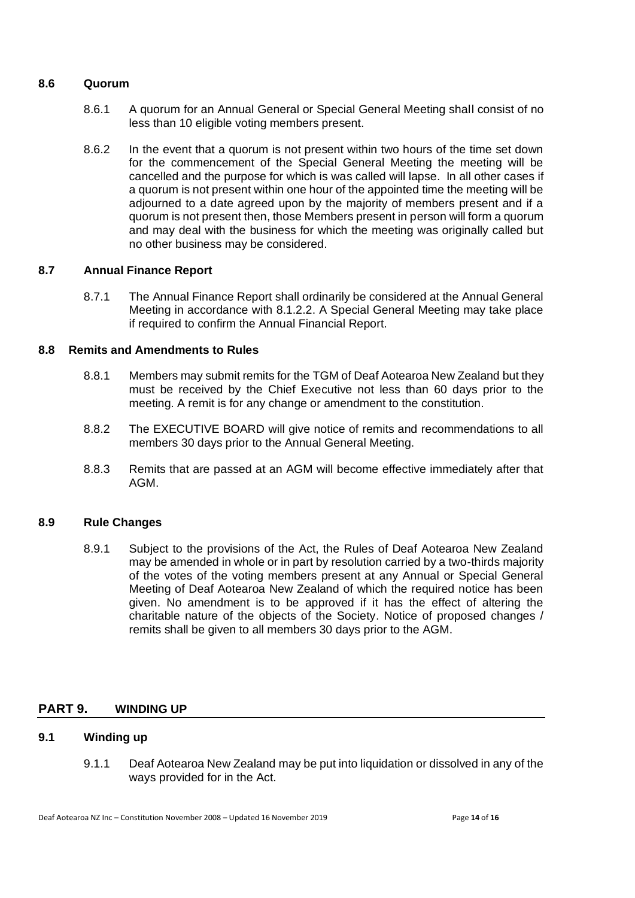# **8.6 Quorum**

- 8.6.1 A quorum for an Annual General or Special General Meeting shall consist of no less than 10 eligible voting members present.
- 8.6.2 In the event that a quorum is not present within two hours of the time set down for the commencement of the Special General Meeting the meeting will be cancelled and the purpose for which is was called will lapse. In all other cases if a quorum is not present within one hour of the appointed time the meeting will be adjourned to a date agreed upon by the majority of members present and if a quorum is not present then, those Members present in person will form a quorum and may deal with the business for which the meeting was originally called but no other business may be considered.

### **8.7 Annual Finance Report**

8.7.1 The Annual Finance Report shall ordinarily be considered at the Annual General Meeting in accordance with 8.1.2.2. A Special General Meeting may take place if required to confirm the Annual Financial Report.

### **8.8 Remits and Amendments to Rules**

- 8.8.1 Members may submit remits for the TGM of Deaf Aotearoa New Zealand but they must be received by the Chief Executive not less than 60 days prior to the meeting. A remit is for any change or amendment to the constitution.
- 8.8.2 The EXECUTIVE BOARD will give notice of remits and recommendations to all members 30 days prior to the Annual General Meeting.
- 8.8.3 Remits that are passed at an AGM will become effective immediately after that AGM.

#### **8.9 Rule Changes**

8.9.1 Subject to the provisions of the Act, the Rules of Deaf Aotearoa New Zealand may be amended in whole or in part by resolution carried by a two-thirds majority of the votes of the voting members present at any Annual or Special General Meeting of Deaf Aotearoa New Zealand of which the required notice has been given. No amendment is to be approved if it has the effect of altering the charitable nature of the objects of the Society. Notice of proposed changes / remits shall be given to all members 30 days prior to the AGM.

# **PART 9. WINDING UP**

# **9.1 Winding up**

9.1.1 Deaf Aotearoa New Zealand may be put into liquidation or dissolved in any of the ways provided for in the Act.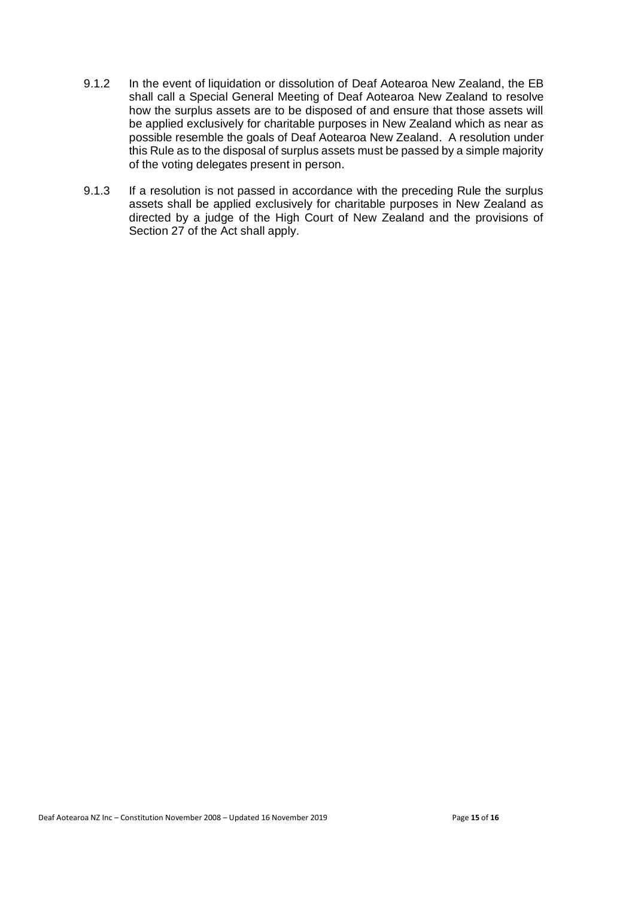- 9.1.2 In the event of liquidation or dissolution of Deaf Aotearoa New Zealand, the EB shall call a Special General Meeting of Deaf Aotearoa New Zealand to resolve how the surplus assets are to be disposed of and ensure that those assets will be applied exclusively for charitable purposes in New Zealand which as near as possible resemble the goals of Deaf Aotearoa New Zealand. A resolution under this Rule as to the disposal of surplus assets must be passed by a simple majority of the voting delegates present in person.
- 9.1.3 If a resolution is not passed in accordance with the preceding Rule the surplus assets shall be applied exclusively for charitable purposes in New Zealand as directed by a judge of the High Court of New Zealand and the provisions of Section 27 of the Act shall apply.